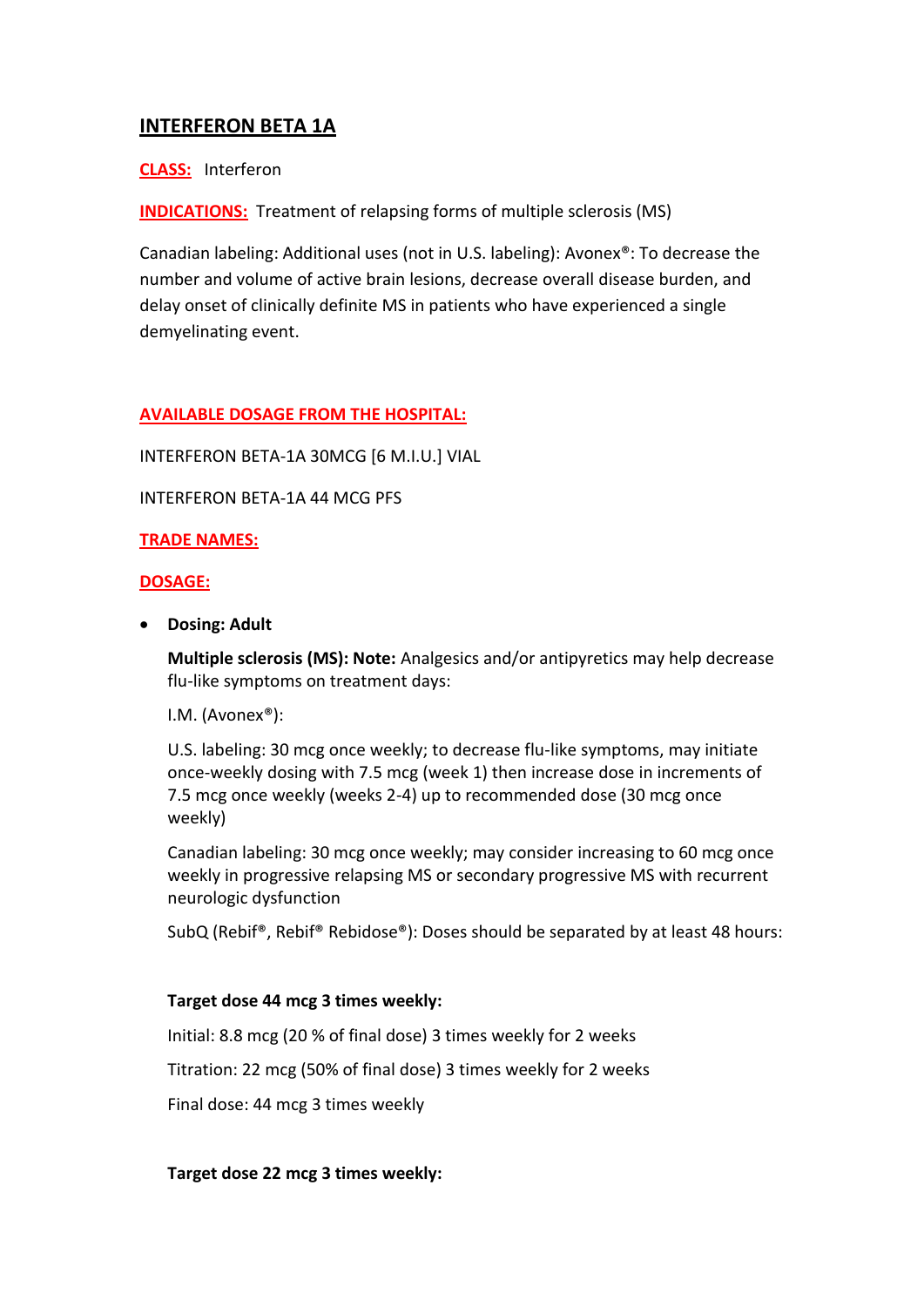# **INTERFERON BETA 1A**

### **CLASS:** Interferon

**INDICATIONS:** Treatment of relapsing forms of multiple sclerosis (MS)

Canadian labeling: Additional uses (not in U.S. labeling): Avonex®: To decrease the number and volume of active brain lesions, decrease overall disease burden, and delay onset of clinically definite MS in patients who have experienced a single demyelinating event.

### **AVAILABLE DOSAGE FROM THE HOSPITAL:**

INTERFERON BETA-1A 30MCG [6 M.I.U.] VIAL

INTERFERON BETA-1A 44 MCG PFS

#### **TRADE NAMES:**

#### **DOSAGE:**

**Dosing: Adult**

**Multiple sclerosis (MS): Note:** Analgesics and/or antipyretics may help decrease flu-like symptoms on treatment days:

I.M. (Avonex®):

U.S. labeling: 30 mcg once weekly; to decrease flu-like symptoms, may initiate once-weekly dosing with 7.5 mcg (week 1) then increase dose in increments of 7.5 mcg once weekly (weeks 2-4) up to recommended dose (30 mcg once weekly)

Canadian labeling: 30 mcg once weekly; may consider increasing to 60 mcg once weekly in progressive relapsing MS or secondary progressive MS with recurrent neurologic dysfunction

SubQ (Rebif®, Rebif® Rebidose®): Doses should be separated by at least 48 hours:

#### **Target dose 44 mcg 3 times weekly:**

Initial: 8.8 mcg (20 % of final dose) 3 times weekly for 2 weeks

Titration: 22 mcg (50% of final dose) 3 times weekly for 2 weeks

Final dose: 44 mcg 3 times weekly

**Target dose 22 mcg 3 times weekly:**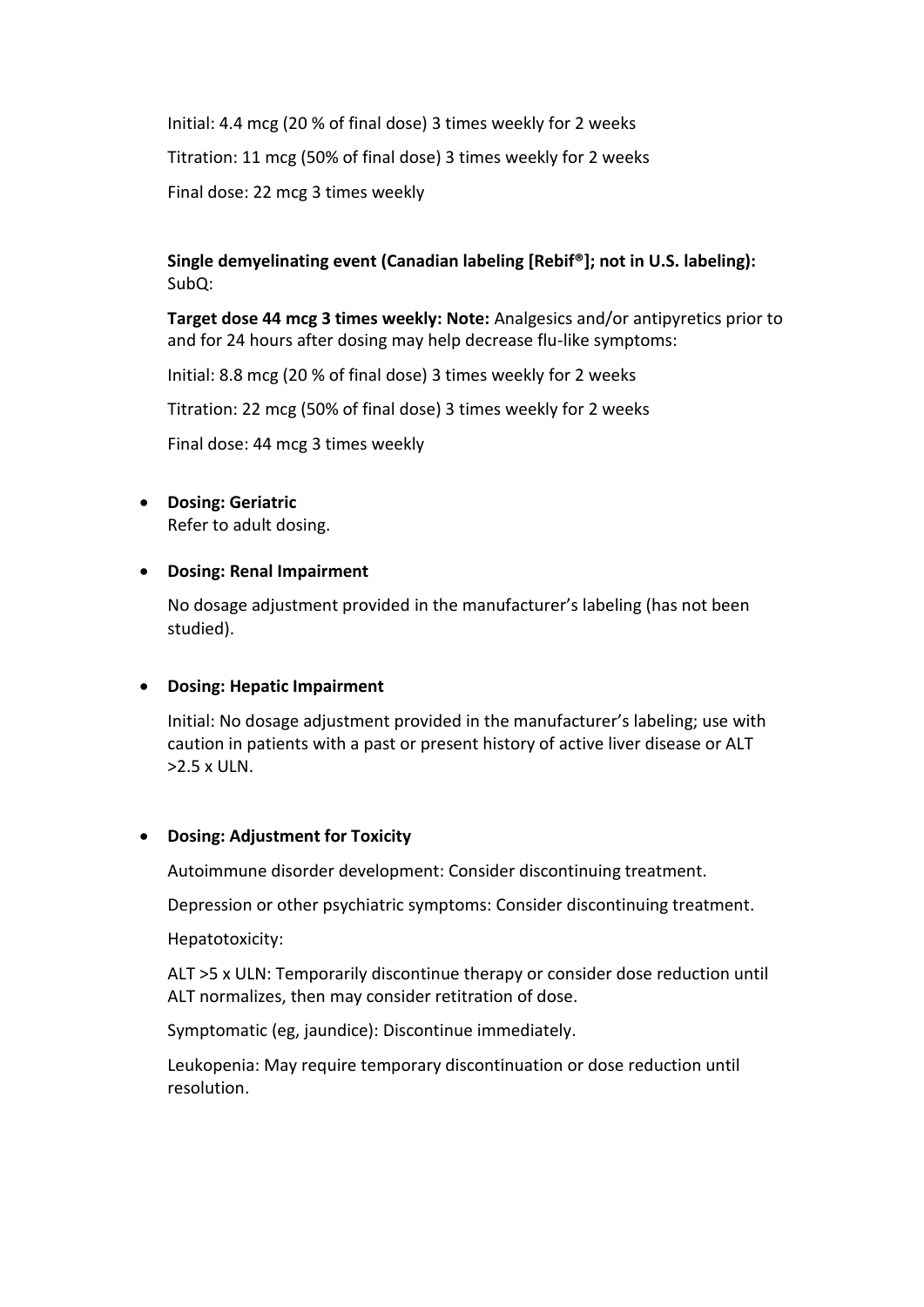Initial: 4.4 mcg (20 % of final dose) 3 times weekly for 2 weeks Titration: 11 mcg (50% of final dose) 3 times weekly for 2 weeks Final dose: 22 mcg 3 times weekly

## **Single demyelinating event (Canadian labeling [Rebif®]; not in U.S. labeling):** SubQ:

**Target dose 44 mcg 3 times weekly: Note:** Analgesics and/or antipyretics prior to and for 24 hours after dosing may help decrease flu-like symptoms:

Initial: 8.8 mcg (20 % of final dose) 3 times weekly for 2 weeks

Titration: 22 mcg (50% of final dose) 3 times weekly for 2 weeks

Final dose: 44 mcg 3 times weekly

## **Dosing: Geriatric**

Refer to adult dosing.

### **Dosing: Renal Impairment**

No dosage adjustment provided in the manufacturer's labeling (has not been studied).

### **Dosing: Hepatic Impairment**

Initial: No dosage adjustment provided in the manufacturer's labeling; use with caution in patients with a past or present history of active liver disease or ALT >2.5 x ULN.

#### **Dosing: Adjustment for Toxicity**

Autoimmune disorder development: Consider discontinuing treatment.

Depression or other psychiatric symptoms: Consider discontinuing treatment.

Hepatotoxicity:

ALT >5 x ULN: Temporarily discontinue therapy or consider dose reduction until ALT normalizes, then may consider retitration of dose.

Symptomatic (eg, jaundice): Discontinue immediately.

Leukopenia: May require temporary discontinuation or dose reduction until resolution.